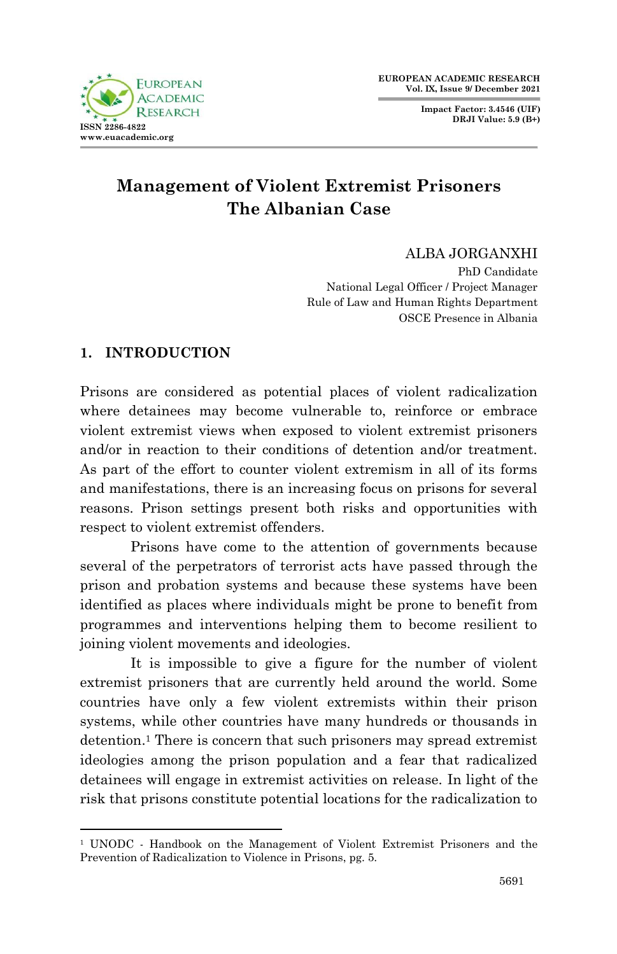**Impact Factor: 3.4546 (UIF) DRJI Value: 5.9 (B+)**



# **Management of Violent Extremist Prisoners The Albanian Case**

# ALBA JORGANXHI

PhD Candidate National Legal Officer / Project Manager Rule of Law and Human Rights Department OSCE Presence in Albania

# **1. INTRODUCTION**

.

Prisons are considered as potential places of violent radicalization where detainees may become vulnerable to, reinforce or embrace violent extremist views when exposed to violent extremist prisoners and/or in reaction to their conditions of detention and/or treatment. As part of the effort to counter violent extremism in all of its forms and manifestations, there is an increasing focus on prisons for several reasons. Prison settings present both risks and opportunities with respect to violent extremist offenders.

Prisons have come to the attention of governments because several of the perpetrators of terrorist acts have passed through the prison and probation systems and because these systems have been identified as places where individuals might be prone to benefit from programmes and interventions helping them to become resilient to joining violent movements and ideologies.

It is impossible to give a figure for the number of violent extremist prisoners that are currently held around the world. Some countries have only a few violent extremists within their prison systems, while other countries have many hundreds or thousands in detention.<sup>1</sup> There is concern that such prisoners may spread extremist ideologies among the prison population and a fear that radicalized detainees will engage in extremist activities on release. In light of the risk that prisons constitute potential locations for the radicalization to

<sup>&</sup>lt;sup>1</sup> UNODC - Handbook on the Management of Violent Extremist Prisoners and the Prevention of Radicalization to Violence in Prisons, pg. 5.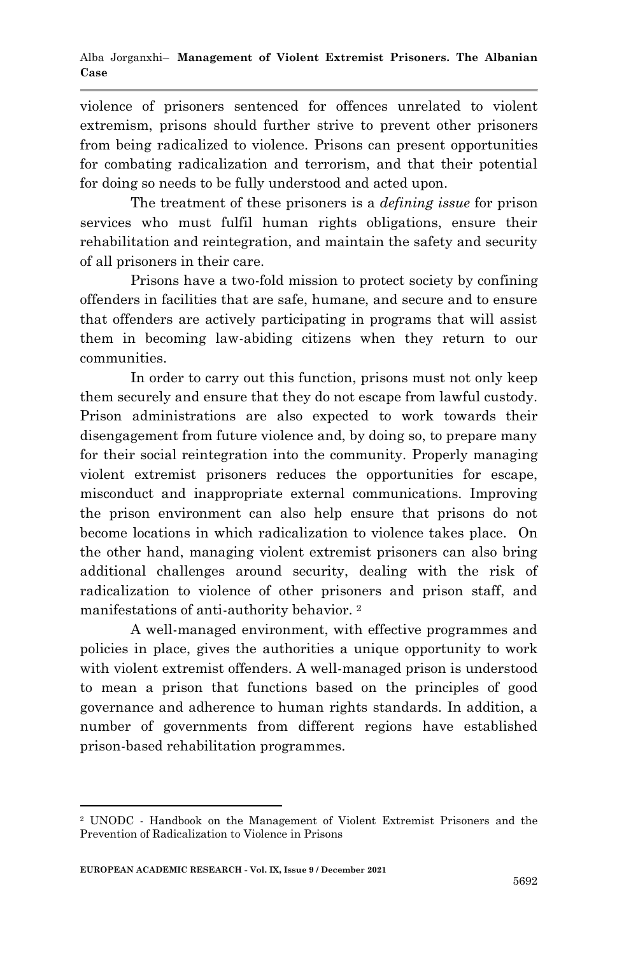violence of prisoners sentenced for offences unrelated to violent extremism, prisons should further strive to prevent other prisoners from being radicalized to violence. Prisons can present opportunities for combating radicalization and terrorism, and that their potential for doing so needs to be fully understood and acted upon.

The treatment of these prisoners is a *defining issue* for prison services who must fulfil human rights obligations, ensure their rehabilitation and reintegration, and maintain the safety and security of all prisoners in their care.

Prisons have a two-fold mission to protect society by confining offenders in facilities that are safe, humane, and secure and to ensure that offenders are actively participating in programs that will assist them in becoming law-abiding citizens when they return to our communities.

In order to carry out this function, prisons must not only keep them securely and ensure that they do not escape from lawful custody. Prison administrations are also expected to work towards their disengagement from future violence and, by doing so, to prepare many for their social reintegration into the community. Properly managing violent extremist prisoners reduces the opportunities for escape, misconduct and inappropriate external communications. Improving the prison environment can also help ensure that prisons do not become locations in which radicalization to violence takes place. On the other hand, managing violent extremist prisoners can also bring additional challenges around security, dealing with the risk of radicalization to violence of other prisoners and prison staff, and manifestations of anti-authority behavior. <sup>2</sup>

A well-managed environment, with effective programmes and policies in place, gives the authorities a unique opportunity to work with violent extremist offenders. A well-managed prison is understood to mean a prison that functions based on the principles of good governance and adherence to human rights standards. In addition, a number of governments from different regions have established prison-based rehabilitation programmes.

<sup>1</sup> <sup>2</sup> UNODC - Handbook on the Management of Violent Extremist Prisoners and the Prevention of Radicalization to Violence in Prisons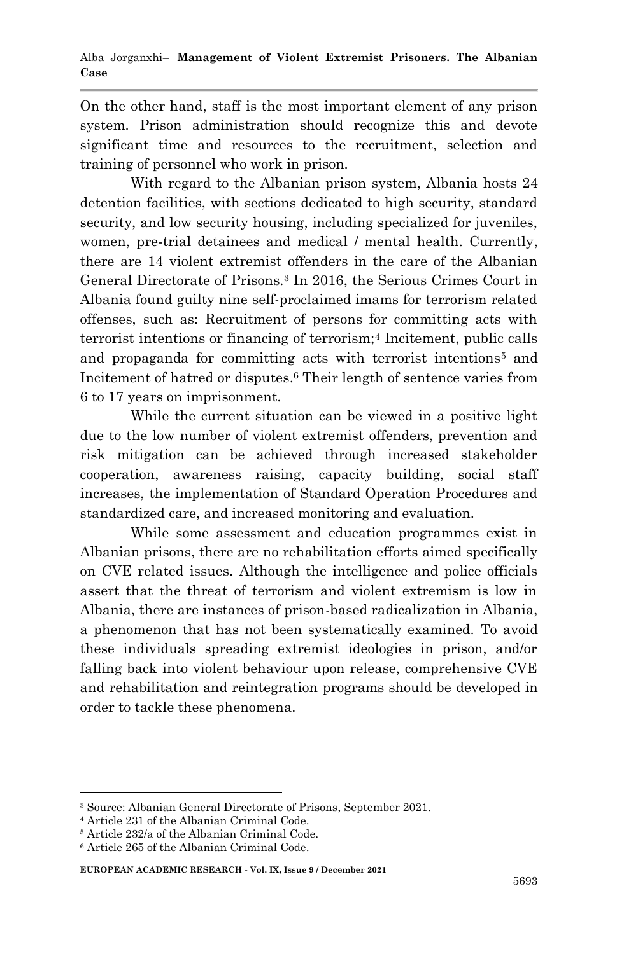On the other hand, staff is the most important element of any prison system. Prison administration should recognize this and devote significant time and resources to the recruitment, selection and training of personnel who work in prison.

With regard to the Albanian prison system, Albania hosts 24 detention facilities, with sections dedicated to high security, standard security, and low security housing, including specialized for juveniles, women, pre-trial detainees and medical / mental health. Currently, there are 14 violent extremist offenders in the care of the Albanian General Directorate of Prisons.<sup>3</sup> In 2016, the Serious Crimes Court in Albania found guilty nine self-proclaimed imams for terrorism related offenses, such as: Recruitment of persons for committing acts with terrorist intentions or financing of terrorism;<sup>4</sup> Incitement, public calls and propaganda for committing acts with terrorist intentions<sup>5</sup> and Incitement of hatred or disputes. <sup>6</sup> Their length of sentence varies from 6 to 17 years on imprisonment.

While the current situation can be viewed in a positive light due to the low number of violent extremist offenders, prevention and risk mitigation can be achieved through increased stakeholder cooperation, awareness raising, capacity building, social staff increases, the implementation of Standard Operation Procedures and standardized care, and increased monitoring and evaluation.

While some assessment and education programmes exist in Albanian prisons, there are no rehabilitation efforts aimed specifically on CVE related issues. Although the intelligence and police officials assert that the threat of terrorism and violent extremism is low in Albania, there are instances of prison-based radicalization in Albania, a phenomenon that has not been systematically examined. To avoid these individuals spreading extremist ideologies in prison, and/or falling back into violent behaviour upon release, comprehensive CVE and rehabilitation and reintegration programs should be developed in order to tackle these phenomena.

1

**EUROPEAN ACADEMIC RESEARCH - Vol. IX, Issue 9 / December 2021**

<sup>3</sup> Source: Albanian General Directorate of Prisons, September 2021.

<sup>4</sup> Article 231 of the Albanian Criminal Code.

<sup>5</sup> Article 232/a of the Albanian Criminal Code.

<sup>6</sup> Article 265 of the Albanian Criminal Code.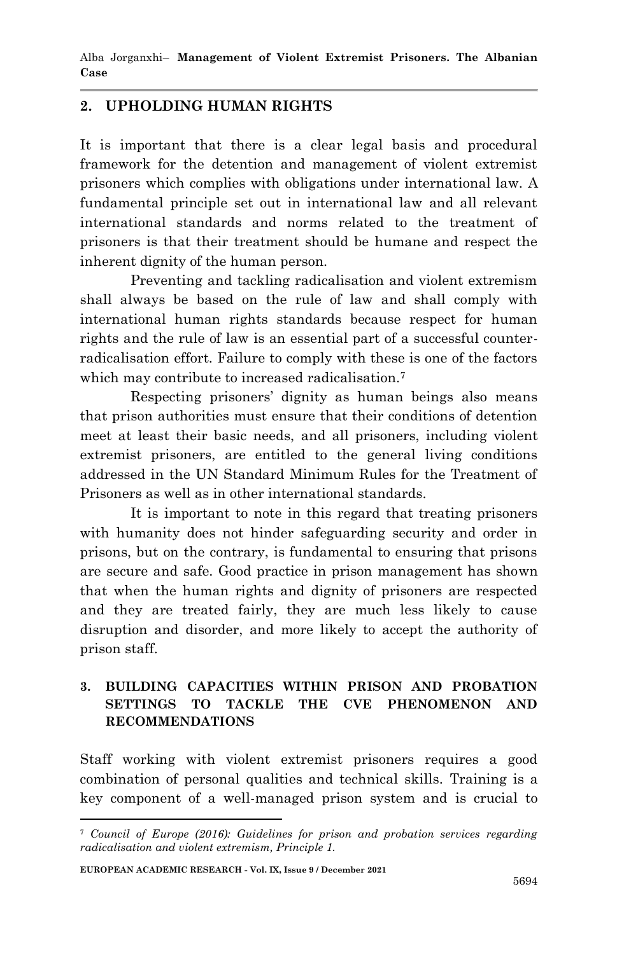Alba Jorganxhi– **Management of Violent Extremist Prisoners. The Albanian Case**

#### **2. UPHOLDING HUMAN RIGHTS**

It is important that there is a clear legal basis and procedural framework for the detention and management of violent extremist prisoners which complies with obligations under international law. A fundamental principle set out in international law and all relevant international standards and norms related to the treatment of prisoners is that their treatment should be humane and respect the inherent dignity of the human person.

Preventing and tackling radicalisation and violent extremism shall always be based on the rule of law and shall comply with international human rights standards because respect for human rights and the rule of law is an essential part of a successful counterradicalisation effort. Failure to comply with these is one of the factors which may contribute to increased radicalisation.<sup>7</sup>

Respecting prisoners' dignity as human beings also means that prison authorities must ensure that their conditions of detention meet at least their basic needs, and all prisoners, including violent extremist prisoners, are entitled to the general living conditions addressed in the UN Standard Minimum Rules for the Treatment of Prisoners as well as in other international standards.

It is important to note in this regard that treating prisoners with humanity does not hinder safeguarding security and order in prisons, but on the contrary, is fundamental to ensuring that prisons are secure and safe. Good practice in prison management has shown that when the human rights and dignity of prisoners are respected and they are treated fairly, they are much less likely to cause disruption and disorder, and more likely to accept the authority of prison staff.

### **3. BUILDING CAPACITIES WITHIN PRISON AND PROBATION SETTINGS TO TACKLE THE CVE PHENOMENON AND RECOMMENDATIONS**

Staff working with violent extremist prisoners requires a good combination of personal qualities and technical skills. Training is a key component of a well-managed prison system and is crucial to

1

<sup>7</sup> *Council of Europe (2016): Guidelines for prison and probation services regarding radicalisation and violent extremism, Principle 1.*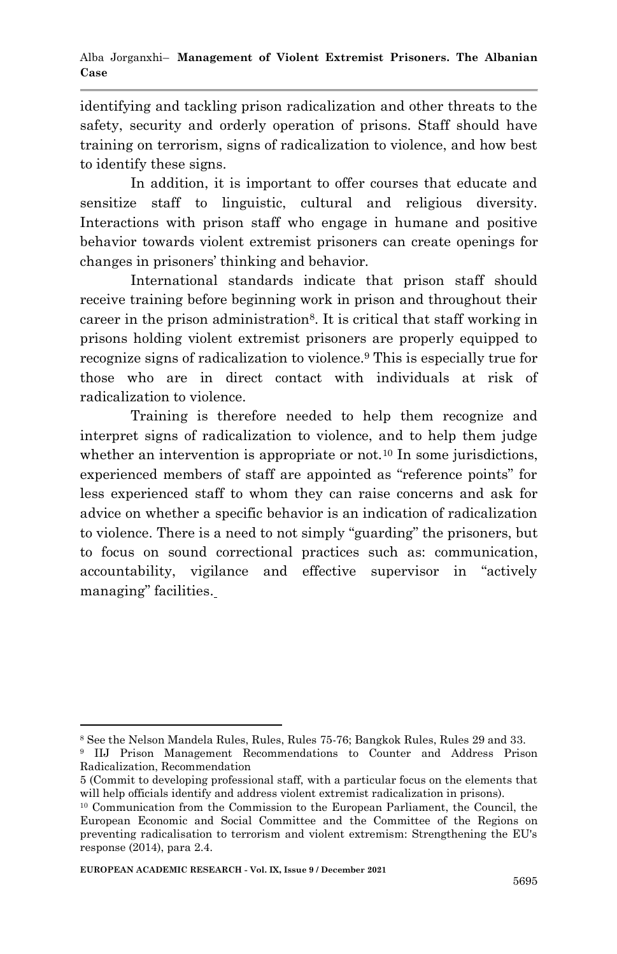identifying and tackling prison radicalization and other threats to the safety, security and orderly operation of prisons. Staff should have training on terrorism, signs of radicalization to violence, and how best to identify these signs.

In addition, it is important to offer courses that educate and sensitize staff to linguistic, cultural and religious diversity. Interactions with prison staff who engage in humane and positive behavior towards violent extremist prisoners can create openings for changes in prisoners' thinking and behavior.

International standards indicate that prison staff should receive training before beginning work in prison and throughout their career in the prison administration8. It is critical that staff working in prisons holding violent extremist prisoners are properly equipped to recognize signs of radicalization to violence.<sup>9</sup> This is especially true for those who are in direct contact with individuals at risk of radicalization to violence.

Training is therefore needed to help them recognize and interpret signs of radicalization to violence, and to help them judge whether an intervention is appropriate or not.<sup>10</sup> In some jurisdictions, experienced members of staff are appointed as "reference points" for less experienced staff to whom they can raise concerns and ask for advice on whether a specific behavior is an indication of radicalization to violence. There is a need to not simply "guarding" the prisoners, but to focus on sound correctional practices such as: communication, accountability, vigilance and effective supervisor in "actively managing" facilities.

1

<sup>8</sup> See the Nelson Mandela Rules, Rules, Rules 75-76; Bangkok Rules, Rules 29 and 33.

<sup>9</sup> IIJ Prison Management Recommendations to Counter and Address Prison Radicalization, Recommendation

<sup>5 (</sup>Commit to developing professional staff, with a particular focus on the elements that will help officials identify and address violent extremist radicalization in prisons).

<sup>10</sup> Communication from the Commission to the European Parliament, the Council, the European Economic and Social Committee and the Committee of the Regions on preventing radicalisation to terrorism and violent extremism: Strengthening the EU's response (2014), para 2.4.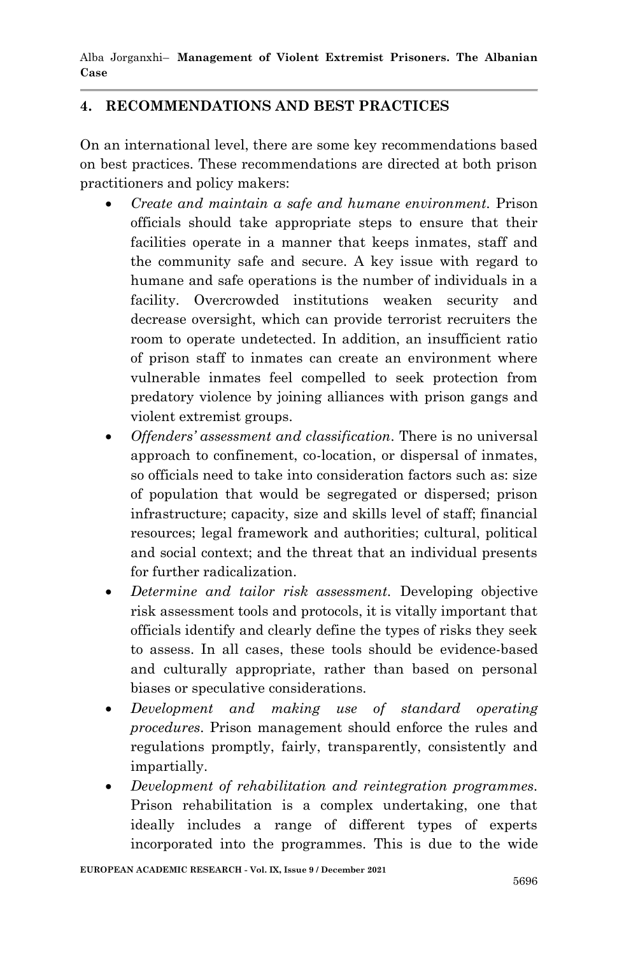Alba Jorganxhi– **Management of Violent Extremist Prisoners. The Albanian Case**

# **4. RECOMMENDATIONS AND BEST PRACTICES**

On an international level, there are some key recommendations based on best practices. These recommendations are directed at both prison practitioners and policy makers:

- *Create and maintain a safe and humane environment.* Prison officials should take appropriate steps to ensure that their facilities operate in a manner that keeps inmates, staff and the community safe and secure. A key issue with regard to humane and safe operations is the number of individuals in a facility. Overcrowded institutions weaken security and decrease oversight, which can provide terrorist recruiters the room to operate undetected. In addition, an insufficient ratio of prison staff to inmates can create an environment where vulnerable inmates feel compelled to seek protection from predatory violence by joining alliances with prison gangs and violent extremist groups.
- *Offenders' assessment and classification.* There is no universal approach to confinement, co-location, or dispersal of inmates, so officials need to take into consideration factors such as: size of population that would be segregated or dispersed; prison infrastructure; capacity, size and skills level of staff; financial resources; legal framework and authorities; cultural, political and social context; and the threat that an individual presents for further radicalization.
- *Determine and tailor risk assessment.* Developing objective risk assessment tools and protocols, it is vitally important that officials identify and clearly define the types of risks they seek to assess. In all cases, these tools should be evidence-based and culturally appropriate, rather than based on personal biases or speculative considerations.
- *Development and making use of standard operating procedures*. Prison management should enforce the rules and regulations promptly, fairly, transparently, consistently and impartially.
- *Development of rehabilitation and reintegration programmes.* Prison rehabilitation is a complex undertaking, one that ideally includes a range of different types of experts incorporated into the programmes. This is due to the wide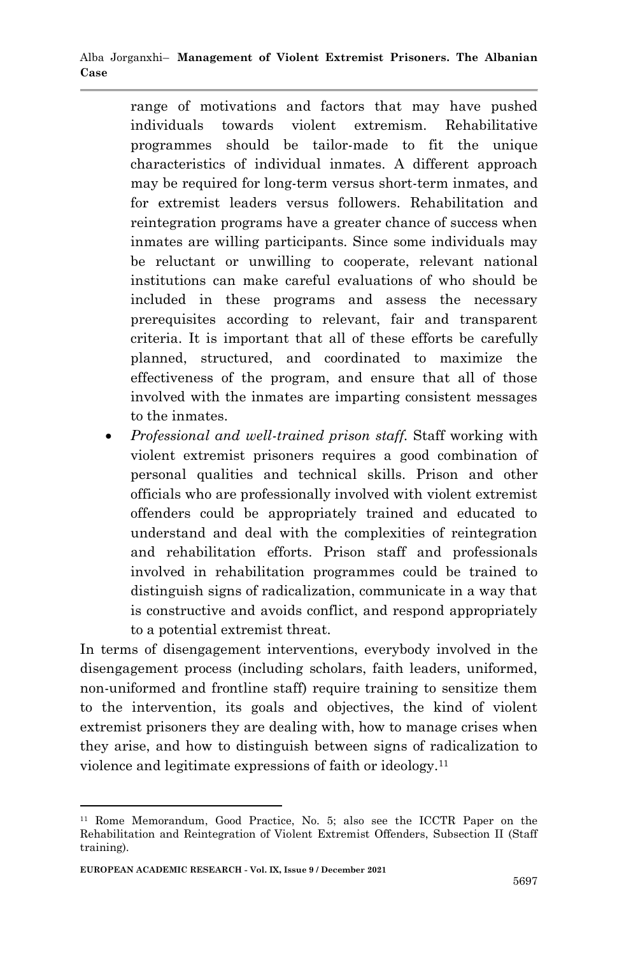range of motivations and factors that may have pushed individuals towards violent extremism. Rehabilitative programmes should be tailor-made to fit the unique characteristics of individual inmates. A different approach may be required for long-term versus short-term inmates, and for extremist leaders versus followers. Rehabilitation and reintegration programs have a greater chance of success when inmates are willing participants. Since some individuals may be reluctant or unwilling to cooperate, relevant national institutions can make careful evaluations of who should be included in these programs and assess the necessary prerequisites according to relevant, fair and transparent criteria. It is important that all of these efforts be carefully planned, structured, and coordinated to maximize the effectiveness of the program, and ensure that all of those involved with the inmates are imparting consistent messages to the inmates.

 *Professional and well-trained prison staff.* Staff working with violent extremist prisoners requires a good combination of personal qualities and technical skills. Prison and other officials who are professionally involved with violent extremist offenders could be appropriately trained and educated to understand and deal with the complexities of reintegration and rehabilitation efforts. Prison staff and professionals involved in rehabilitation programmes could be trained to distinguish signs of radicalization, communicate in a way that is constructive and avoids conflict, and respond appropriately to a potential extremist threat.

In terms of disengagement interventions, everybody involved in the disengagement process (including scholars, faith leaders, uniformed, non-uniformed and frontline staff) require training to sensitize them to the intervention, its goals and objectives, the kind of violent extremist prisoners they are dealing with, how to manage crises when they arise, and how to distinguish between signs of radicalization to violence and legitimate expressions of faith or ideology.<sup>11</sup>

1

<sup>11</sup> Rome Memorandum, Good Practice, No. 5; also see the ICCTR Paper on the Rehabilitation and Reintegration of Violent Extremist Offenders, Subsection II (Staff training).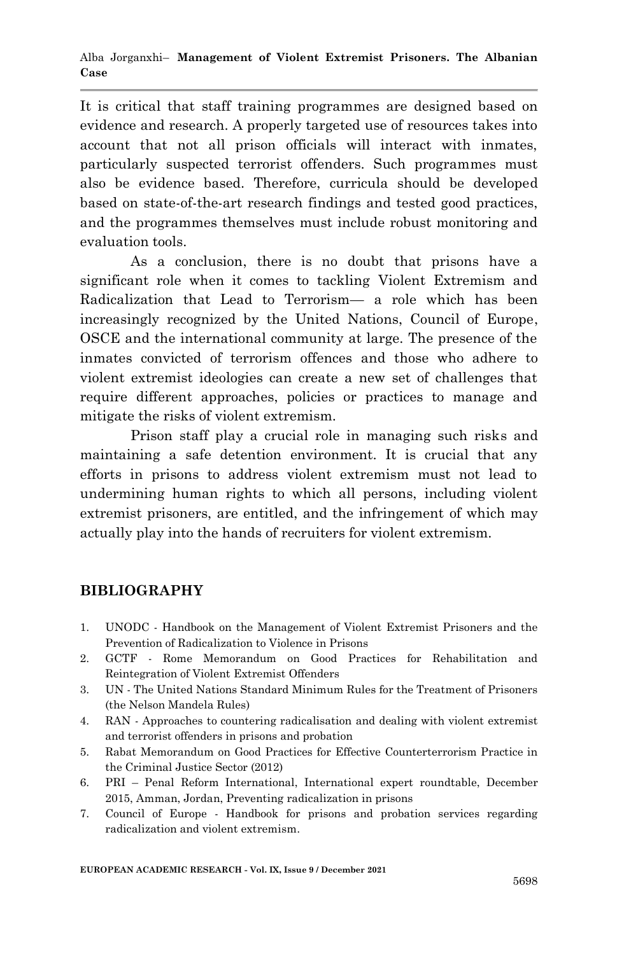It is critical that staff training programmes are designed based on evidence and research. A properly targeted use of resources takes into account that not all prison officials will interact with inmates, particularly suspected terrorist offenders. Such programmes must also be evidence based. Therefore, curricula should be developed based on state-of-the-art research findings and tested good practices, and the programmes themselves must include robust monitoring and evaluation tools.

As a conclusion, there is no doubt that prisons have a significant role when it comes to tackling Violent Extremism and Radicalization that Lead to Terrorism— a role which has been increasingly recognized by the United Nations, Council of Europe, OSCE and the international community at large. The presence of the inmates convicted of terrorism offences and those who adhere to violent extremist ideologies can create a new set of challenges that require different approaches, policies or practices to manage and mitigate the risks of violent extremism.

Prison staff play a crucial role in managing such risks and maintaining a safe detention environment. It is crucial that any efforts in prisons to address violent extremism must not lead to undermining human rights to which all persons, including violent extremist prisoners, are entitled, and the infringement of which may actually play into the hands of recruiters for violent extremism.

# **BIBLIOGRAPHY**

- 1. UNODC Handbook on the Management of Violent Extremist Prisoners and the Prevention of Radicalization to Violence in Prisons
- 2. GCTF Rome Memorandum on Good Practices for Rehabilitation and Reintegration of Violent Extremist Offenders
- 3. UN The United Nations Standard Minimum Rules for the Treatment of Prisoners (the Nelson Mandela Rules)
- 4. RAN Approaches to countering radicalisation and dealing with violent extremist and terrorist offenders in prisons and probation
- 5. Rabat Memorandum on Good Practices for Effective Counterterrorism Practice in the Criminal Justice Sector (2012)
- 6. PRI Penal Reform International, International expert roundtable, December 2015, Amman, Jordan, Preventing radicalization in prisons
- 7. Council of Europe Handbook for prisons and probation services regarding radicalization and violent extremism.